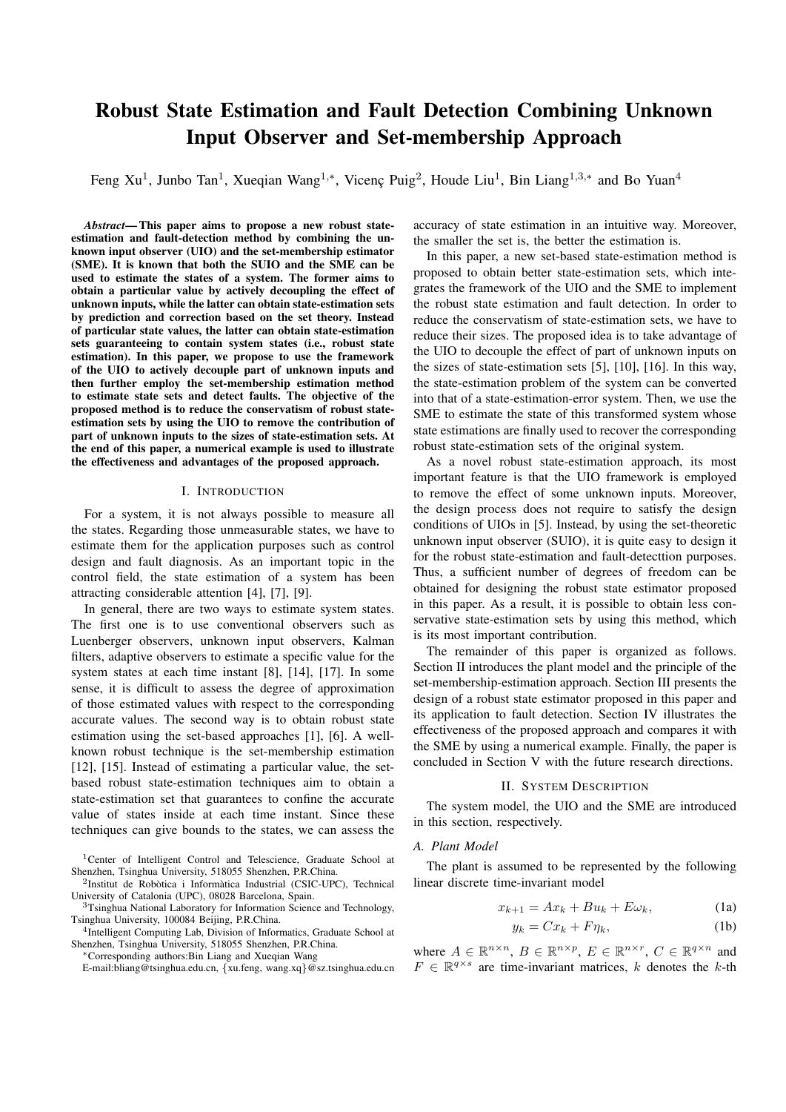# **Robust State Estimation and Fault Detection Combining Unknown Input Observer and Set-membership Approach**

Feng Xu<sup>1</sup>, Junbo Tan<sup>1</sup>, Xueqian Wang<sup>1,\*</sup>, Vicenç Puig<sup>2</sup>, Houde Liu<sup>1</sup>, Bin Liang<sup>1,3,\*</sup> and Bo Yuan<sup>4</sup>

Abstract—This paper aims to propose a new robust stateestimation and fault-detection method by combining the unknown input observer (UIO) and the set-membership estimator (SME). It is known that both the SUIO and the SME can be used to estimate the states of a system. The former aims to obtain a particular value by actively decoupling the effect of unknown inputs, while the latter can obtain state-estimation sets by prediction and correction based on the set theory. Instead of particular state values, the latter can obtain state-estimation sets guaranteeing to contain system states (i.e., robust state estimation). In this paper, we propose to use the framework of the UIO to actively decouple part of unknown inputs and then further employ the set-membership estimation method to estimate state sets and detect faults. The objective of the proposed method is to reduce the conservatism of robust stateestimation sets by using the UIO to remove the contribution of part of unknown inputs to the sizes of state-estimation sets. At the end of this paper, a numerical example is used to illustrate the effectiveness and advantages of the proposed approach.

#### I. INTRODUCTION

For a system, it is not always possible to measure all the states. Regarding those unmeasurable states, we have to estimate them for the application purposes such as control design and fault diagnosis. As an important topic in the control field, the state estimation of a system has been attracting considerable attention [4], [7], [9].

In general, there are two ways to estimate system states. The first one is to use conventional observers such as Luenberger observers, unknown input observers, Kalman filters, adaptive observers to estimate a specific value for the system states at each time instant [8], [14], [17]. In some sense, it is difficult to assess the degree of approximation of those estimated values with respect to the corresponding accurate values. The second way is to obtain robust state estimation using the set-based approaches [1], [6]. A wellknown robust technique is the set-membership estimation  $[12]$ ,  $[15]$ . Instead of estimating a particular value, the setbased robust state-estimation techniques aim to obtain a state-estimation set that guarantees to confine the accurate value of states inside at each time instant. Since these techniques can give bounds to the states, we can assess the

<sup>1</sup>Center of Intelligent Control and Telescience, Graduate School at Shenzhen, Tsinghua University, 518055 Shenzhen, P.R.China.

<sup>2</sup>Institut de Robòtica i Informàtica Industrial (CSIC-UPC), Technical University of Catalonia (UPC), 08028 Barcelona, Spain.

<sup>3</sup>Tsinghua National Laboratory for Information Science and Technology, Tsinghua University, 100084 Beijing, P.R.China.

<sup>4</sup>Intelligent Computing Lab, Division of Informatics, Graduate School at Shenzhen, Tsinghua University, 518055 Shenzhen, P.R.China.

\*Corresponding authors: Bin Liang and Xueqian Wang

E-mail:bliang@tsinghua.edu.cn, {xu.feng, wang.xq}@sz.tsinghua.edu.cn

accuracy of state estimation in an intuitive way. Moreover, the smaller the set is, the better the estimation is.

In this paper, a new set-based state-estimation method is proposed to obtain better state-estimation sets, which integrates the framework of the UIO and the SME to implement the robust state estimation and fault detection. In order to reduce the conservatism of state-estimation sets, we have to reduce their sizes. The proposed idea is to take advantage of the UIO to decouple the effect of part of unknown inputs on the sizes of state-estimation sets  $[5]$ ,  $[10]$ ,  $[16]$ . In this way, the state-estimation problem of the system can be converted into that of a state-estimation-error system. Then, we use the SME to estimate the state of this transformed system whose state estimations are finally used to recover the corresponding robust state-estimation sets of the original system.

As a novel robust state-estimation approach, its most important feature is that the UIO framework is employed to remove the effect of some unknown inputs. Moreover, the design process does not require to satisfy the design conditions of UIOs in [5]. Instead, by using the set-theoretic unknown input observer (SUIO), it is quite easy to design it for the robust state-estimation and fault-detecttion purposes. Thus, a sufficient number of degrees of freedom can be obtained for designing the robust state estimator proposed in this paper. As a result, it is possible to obtain less conservative state-estimation sets by using this method, which is its most important contribution.

The remainder of this paper is organized as follows. Section II introduces the plant model and the principle of the set-membership-estimation approach. Section III presents the design of a robust state estimator proposed in this paper and its application to fault detection. Section IV illustrates the effectiveness of the proposed approach and compares it with the SME by using a numerical example. Finally, the paper is concluded in Section V with the future research directions.

# **II. SYSTEM DESCRIPTION**

The system model, the UIO and the SME are introduced in this section, respectively.

#### A. Plant Model

The plant is assumed to be represented by the following linear discrete time-invariant model

$$
x_{k+1} = Ax_k + Bu_k + E\omega_k, \tag{1a}
$$

$$
y_k = Cx_k + F\eta_k,\tag{1b}
$$

where  $A \in \mathbb{R}^{n \times n}$ ,  $B \in \mathbb{R}^{n \times p}$ ,  $E \in \mathbb{R}^{n \times r}$ ,  $C \in \mathbb{R}^{q \times n}$  and  $F \in \mathbb{R}^{q \times s}$  are time-invariant matrices, k denotes the k-th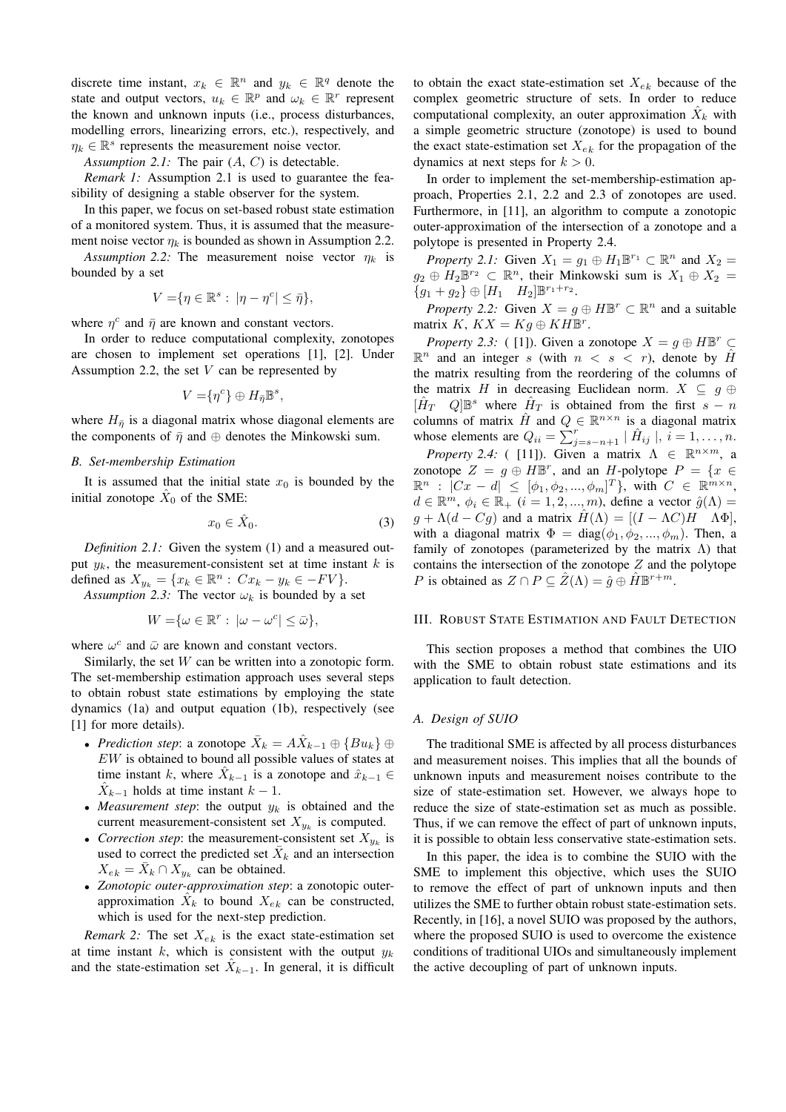discrete time instant,  $x_k \in \mathbb{R}^n$  and  $y_k \in \mathbb{R}^q$  denote the state and output vectors,  $u_k \in \mathbb{R}^p$  and  $\omega_k \in \mathbb{R}^r$  represent the known and unknown inputs (i.e., process disturbances, modelling errors, linearizing errors, etc.), respectively, and  $\eta_k \in \mathbb{R}^s$  represents the measurement noise vector.

Assumption 2.1: The pair  $(A, C)$  is detectable.

*Remark 1:* Assumption 2.1 is used to guarantee the feasibility of designing a stable observer for the system.

In this paper, we focus on set-based robust state estimation of a monitored system. Thus, it is assumed that the measurement noise vector  $\eta_k$  is bounded as shown in Assumption 2.2.

Assumption 2.2: The measurement noise vector  $\eta_k$  is bounded by a set

$$
V = \{ \eta \in \mathbb{R}^s : |\eta - \eta^c| \leq \bar{\eta} \},
$$

where  $n^c$  and  $\bar{n}$  are known and constant vectors.

In order to reduce computational complexity, zonotopes are chosen to implement set operations [1], [2]. Under Assumption 2.2, the set  $V$  can be represented by

$$
V = \{\eta^c\} \oplus H_{\bar{\eta}} \mathbb{B}^s
$$

where  $H_{\bar{\eta}}$  is a diagonal matrix whose diagonal elements are the components of  $\bar{\eta}$  and  $\oplus$  denotes the Minkowski sum.

# B. Set-membership Estimation

It is assumed that the initial state  $x_0$  is bounded by the initial zonotope  $\hat{X}_0$  of the SME:

$$
x_0 \in \hat{X}_0. \tag{3}
$$

Definition 2.1: Given the system  $(1)$  and a measured output  $y_k$ , the measurement-consistent set at time instant  $k$  is defined as  $X_{y_k} = \{x_k \in \mathbb{R}^n : Cx_k - y_k \in -FV\}.$ 

Assumption 2.3: The vector  $\omega_k$  is bounded by a set

$$
W = \{ \omega \in \mathbb{R}^r : |\omega - \omega^c| \le \bar{\omega} \},
$$

where  $\omega^c$  and  $\bar{\omega}$  are known and constant vectors.

Similarly, the set  $W$  can be written into a zonotopic form. The set-membership estimation approach uses several steps to obtain robust state estimations by employing the state dynamics (1a) and output equation (1b), respectively (see [1] for more details).

- Prediction step: a zonotope  $\bar{X}_k = A\hat{X}_{k-1} \oplus \{Bu_k\} \oplus$ EW is obtained to bound all possible values of states at time instant k, where  $X_{k-1}$  is a zonotope and  $\hat{x}_{k-1} \in$  $\hat{X}_{k-1}$  holds at time instant  $k-1$ .
- *Measurement step*: the output  $y_k$  is obtained and the current measurement-consistent set  $X_{y_k}$  is computed.
- *Correction step*: the measurement-consistent set  $X_{y_k}$  is used to correct the predicted set  $X_k$  and an intersection  $X_{ek} = X_k \cap X_{u_k}$  can be obtained.
- Zonotopic outer-approximation step: a zonotopic outerapproximation  $\hat{X}_k$  to bound  $X_{ek}$  can be constructed, which is used for the next-step prediction.

*Remark 2:* The set  $X_{ek}$  is the exact state-estimation set at time instant k, which is consistent with the output  $y_k$ and the state-estimation set  $\hat{X}_{k-1}$ . In general, it is difficult

to obtain the exact state-estimation set  $X_{ek}$  because of the complex geometric structure of sets. In order to reduce computational complexity, an outer approximation  $X_k$  with a simple geometric structure (zonotope) is used to bound the exact state-estimation set  $X_{ek}$  for the propagation of the dynamics at next steps for  $k > 0$ .

In order to implement the set-membership-estimation approach, Properties 2.1, 2.2 and 2.3 of zonotopes are used. Furthermore, in [11], an algorithm to compute a zonotopic outer-approximation of the intersection of a zonotope and a polytope is presented in Property 2.4.

*Property 2.1:* Given  $X_1 = g_1 \oplus H_1 \mathbb{B}^{r_1} \subset \mathbb{R}^n$  and  $X_2 =$  $g_2 \oplus H_2 \mathbb{B}^{r_2} \subset \mathbb{R}^n$ , their Minkowski sum is  $X_1 \oplus X_2 =$  ${g_1 + g_2} \oplus [H_1 \quad H_2] \mathbb{B}^{r_1 + r_2}.$ 

*Property 2.2:* Given  $X = g \oplus H \mathbb{B}^r \subset \mathbb{R}^n$  and a suitable matrix K,  $KX = Kg \oplus KH \mathbb{B}^r$ .

*Property 2.3:* ([1]). Given a zonotope  $X = g \oplus H\mathbb{B}^r$  $\mathbb{R}^n$  and an integer s (with  $n < s < r$ ), denote by H the matrix resulting from the reordering of the columns of the matrix H in decreasing Euclidean norm.  $X \subseteq q \oplus$  $[\hat{H}_T \ Q] \mathbb{B}^s$  where  $\hat{H}_T$  is obtained from the first  $s - n$ columns of matrix  $\hat{H}$  and  $Q \in \mathbb{R}^{n \times n}$  is a diagonal matrix<br>whose elements are  $Q_{ii} = \sum_{j=s-n+1}^{r} |\hat{H}_{ij}|, i = 1, ..., n$ .

*Property 2.4:* ([11]). Given a matrix  $\Lambda \in \mathbb{R}^{n \times m}$ , a zonotope  $Z = q \oplus H\mathbb{B}^r$ , and an H-polytope  $P = \{x \in$  $\mathbb{R}^n : |Cx - d| \leq [\phi_1, \phi_2, ..., \phi_m]^T$ , with  $C \in \mathbb{R}^{m \times n}$ ,  $d \in \mathbb{R}^m$ ,  $\phi_i \in \mathbb{R}_+$   $(i = 1, 2, ..., m)$ , define a vector  $\hat{g}(\Lambda)$  =  $q + \Lambda(d - Cq)$  and a matrix  $\hat{H}(\Lambda) = [(I - \Lambda C)H \Lambda \Phi]$ , with a diagonal matrix  $\Phi = \text{diag}(\phi_1, \phi_2, ..., \phi_m)$ . Then, a family of zonotopes (parameterized by the matrix  $\Lambda$ ) that contains the intersection of the zonotope  $Z$  and the polytope P is obtained as  $Z \cap P \subseteq Z(\Lambda) = \hat{g} \oplus H\mathbb{B}^{r+m}$ .

# III. ROBUST STATE ESTIMATION AND FAULT DETECTION

This section proposes a method that combines the UIO with the SME to obtain robust state estimations and its application to fault detection.

## A. Design of SUIO

The traditional SME is affected by all process disturbances and measurement noises. This implies that all the bounds of unknown inputs and measurement noises contribute to the size of state-estimation set. However, we always hope to reduce the size of state-estimation set as much as possible. Thus, if we can remove the effect of part of unknown inputs, it is possible to obtain less conservative state-estimation sets.

In this paper, the idea is to combine the SUIO with the SME to implement this objective, which uses the SUIO to remove the effect of part of unknown inputs and then utilizes the SME to further obtain robust state-estimation sets. Recently, in [16], a novel SUIO was proposed by the authors, where the proposed SUIO is used to overcome the existence conditions of traditional UIOs and simultaneously implement the active decoupling of part of unknown inputs.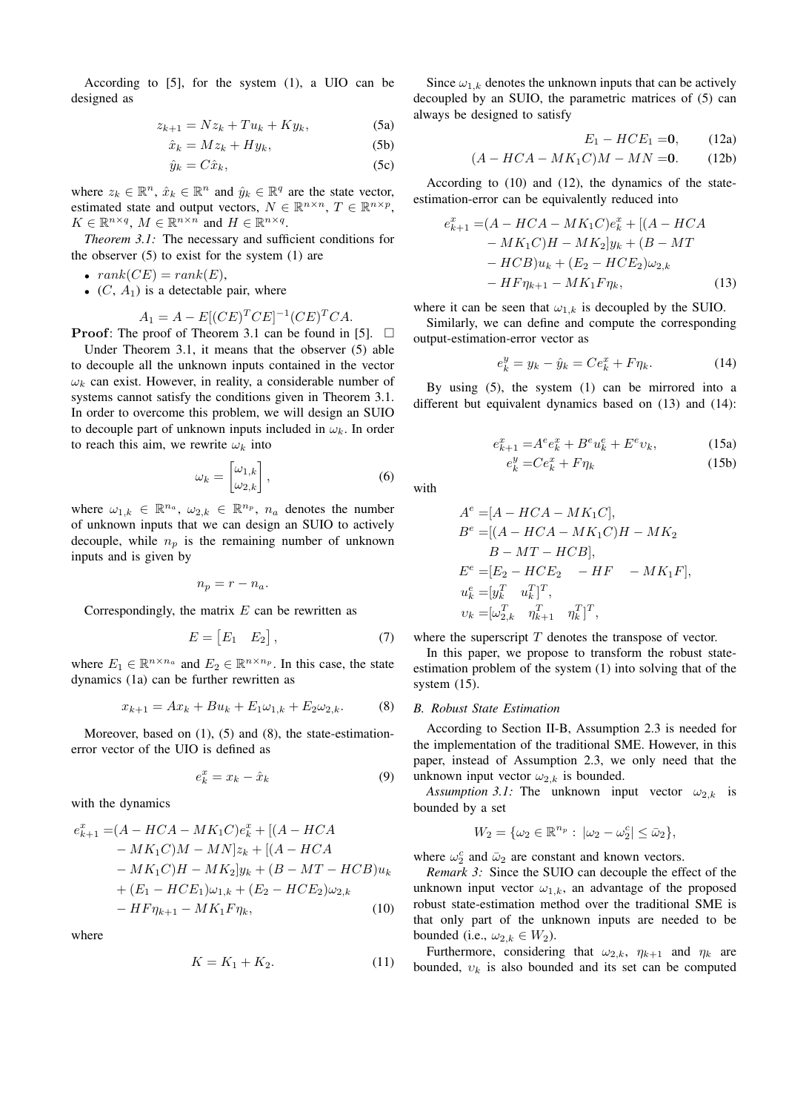According to  $[5]$ , for the system  $(1)$ , a UIO can be designed as

$$
z_{k+1} = Nz_k + Tu_k + Ky_k, \tag{5a}
$$

$$
\hat{x}_k = Mz_k + Hy_k,\tag{5b}
$$

$$
\hat{y}_k = C\hat{x}_k,\tag{5c}
$$

where  $z_k \in \mathbb{R}^n$ ,  $\hat{x}_k \in \mathbb{R}^n$  and  $\hat{y}_k \in \mathbb{R}^q$  are the state vector, estimated state and output vectors,  $N \in \mathbb{R}^{n \times n}$ ,  $T \in \mathbb{R}^{n \times p}$ ,  $K \in \mathbb{R}^{n \times q}$ ,  $M \in \mathbb{R}^{n \times n}$  and  $H \in \mathbb{R}^{n \times q}$ .

*Theorem 3.1:* The necessary and sufficient conditions for the observer  $(5)$  to exist for the system  $(1)$  are

•  $rank(CE) = rank(E),$ 

•  $(C, A_1)$  is a detectable pair, where

$$
A_1 = A - E[(CE)^T CE]^{-1}(CE)^T CA.
$$

**Proof:** The proof of Theorem 3.1 can be found in [5].  $\Box$ 

Under Theorem 3.1, it means that the observer  $(5)$  able to decouple all the unknown inputs contained in the vector  $\omega_k$  can exist. However, in reality, a considerable number of systems cannot satisfy the conditions given in Theorem 3.1. In order to overcome this problem, we will design an SUIO to decouple part of unknown inputs included in  $\omega_k$ . In order to reach this aim, we rewrite  $\omega_k$  into

$$
\omega_k = \begin{bmatrix} \omega_{1,k} \\ \omega_{2,k} \end{bmatrix},\tag{6}
$$

where  $\omega_{1,k} \in \mathbb{R}^{n_a}$ ,  $\omega_{2,k} \in \mathbb{R}^{n_p}$ ,  $n_a$  denotes the number of unknown inputs that we can design an SUIO to actively decouple, while  $n_p$  is the remaining number of unknown inputs and is given by

$$
n_p = r - n_a.
$$

Correspondingly, the matrix  $E$  can be rewritten as

$$
E = \begin{bmatrix} E_1 & E_2 \end{bmatrix},\tag{7}
$$

where  $E_1 \in \mathbb{R}^{n \times n_a}$  and  $E_2 \in \mathbb{R}^{n \times n_p}$ . In this case, the state dynamics (1a) can be further rewritten as

$$
x_{k+1} = Ax_k + Bu_k + E_1 \omega_{1,k} + E_2 \omega_{2,k}.
$$
 (8)

Moreover, based on  $(1)$ ,  $(5)$  and  $(8)$ , the state-estimationerror vector of the UIO is defined as

$$
e_k^x = x_k - \hat{x}_k \tag{9}
$$

with the dynamics

$$
e_{k+1}^{x} = (A - HCA - MK_{1}C)e_{k}^{x} + [(A - HCA - MK_{1}C)M - MN]z_{k} + [(A - HCA - MK_{1}C)M - MK_{2}]y_{k} + (B - MT - HCB)u_{k} + (E_{1} - HCE_{1})\omega_{1,k} + (E_{2} - HCE_{2})\omega_{2,k} - HF\eta_{k+1} - MK_{1}F\eta_{k},
$$
\n(10)

where

$$
K = K_1 + K_2. \tag{11}
$$

Since  $\omega_{1,k}$  denotes the unknown inputs that can be actively decoupled by an SUIO, the parametric matrices of (5) can always be designed to satisfy

$$
E_1 - HCE_1 = 0, \qquad (12a)
$$

$$
(A - HCA - MK_1C)M - MN = 0. \tag{12b}
$$

According to  $(10)$  and  $(12)$ , the dynamics of the stateestimation-error can be equivalently reduced into

$$
e_{k+1}^{x} = (A - HCA - MK_{1}C)e_{k}^{x} + [(A - HCA - MK_{1}C)H - MK_{2}]y_{k} + (B - MT - HCB)u_{k} + (E_{2} - HCE_{2})\omega_{2,k} - HF\eta_{k+1} - MK_{1}F\eta_{k},
$$
\n(13)

where it can be seen that  $\omega_{1,k}$  is decoupled by the SUIO.

Similarly, we can define and compute the corresponding output-estimation-error vector as

$$
e_k^y = y_k - \hat{y}_k = Ce_k^x + F\eta_k. \tag{14}
$$

By using  $(5)$ , the system  $(1)$  can be mirrored into a different but equivalent dynamics based on (13) and (14):

$$
e_{k+1}^x = A^e e_k^x + B^e u_k^e + E^e v_k, \tag{15a}
$$

$$
e_k^y = Ce_k^x + F\eta_k\tag{15b}
$$

with

$$
A^{e} = [A - HCA - MK_1C],
$$
  
\n
$$
B^{e} = [(A - HCA - MK_1C)H - MK_2
$$
  
\n
$$
B - MT - HCB],
$$
  
\n
$$
E^{e} = [E_2 - HCE_2 - HF - MK_1F],
$$
  
\n
$$
u_{k}^{e} = [y_{k}^{T} u_{k}^{T}]^{T},
$$
  
\n
$$
v_{k} = [\omega_{2,k}^{T} \eta_{k+1}^{T} \eta_{k}^{T}]^{T},
$$

where the superscript  $T$  denotes the transpose of vector.

In this paper, we propose to transform the robust stateestimation problem of the system (1) into solving that of the system  $(15)$ .

## **B.** Robust State Estimation

According to Section II-B, Assumption 2.3 is needed for the implementation of the traditional SME. However, in this paper, instead of Assumption 2.3, we only need that the unknown input vector  $\omega_{2,k}$  is bounded.

Assumption 3.1: The unknown input vector  $\omega_{2,k}$  is bounded by a set

$$
W_2 = \{\omega_2 \in \mathbb{R}^{n_p} : |\omega_2 - \omega_2^c| \le \bar{\omega}_2\},\
$$

where  $\omega_2^c$  and  $\bar{\omega}_2$  are constant and known vectors.

Remark 3: Since the SUIO can decouple the effect of the unknown input vector  $\omega_{1,k}$ , an advantage of the proposed robust state-estimation method over the traditional SME is that only part of the unknown inputs are needed to be bounded (i.e.,  $\omega_{2,k} \in W_2$ ).

Furthermore, considering that  $\omega_{2,k}$ ,  $\eta_{k+1}$  and  $\eta_k$  are bounded,  $v_k$  is also bounded and its set can be computed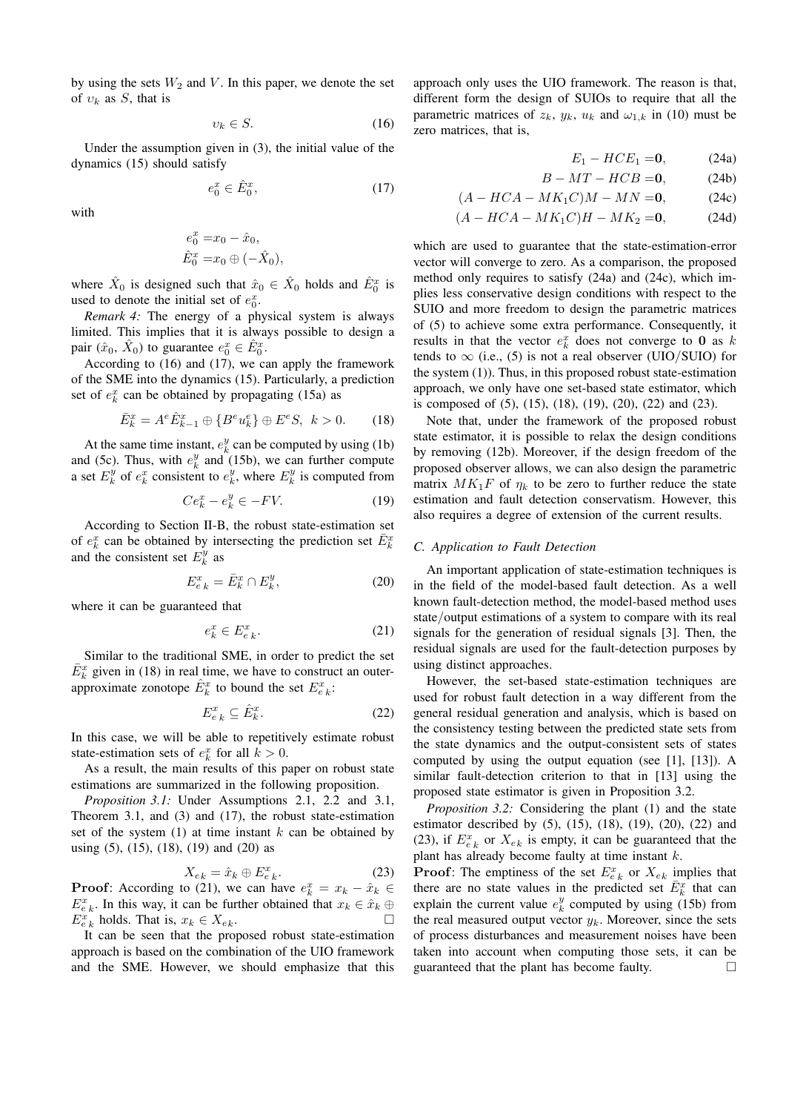by using the sets  $W_2$  and V. In this paper, we denote the set of  $v_k$  as S, that is

$$
v_k \in S. \tag{16}
$$

Under the assumption given in  $(3)$ , the initial value of the dynamics (15) should satisfy

$$
e_0^x \in \hat{E}_0^x,\tag{17}
$$

with

$$
e_0^x = x_0 - \hat{x}_0,
$$
  

$$
\hat{E}_0^x = x_0 \oplus (-\hat{X}_0),
$$

where  $\hat{X}_0$  is designed such that  $\hat{x}_0 \in \hat{X}_0$  holds and  $\hat{E}_0^x$  is used to denote the initial set of  $e_0^x$ .

Remark 4: The energy of a physical system is always limited. This implies that it is always possible to design a pair  $(\hat{x}_0, \hat{X}_0)$  to guarantee  $e_0^x \in \hat{E}_0^x$ .

According to (16) and (17), we can apply the framework of the SME into the dynamics (15). Particularly, a prediction set of  $e_k^x$  can be obtained by propagating (15a) as

$$
\bar{E}_k^x = A^e \hat{E}_{k-1}^x \oplus \{ B^e u_k^e \} \oplus E^e S, \ k > 0. \tag{18}
$$

At the same time instant,  $e_k^y$  can be computed by using (1b) and (5c). Thus, with  $e_k^y$  and (15b), we can further compute a set  $E_k^y$  of  $e_k^x$  consistent to  $e_k^y$ , where  $E_k^y$  is computed from

$$
Ce_k^x - e_k^y \in -FV.
$$
 (19)

According to Section II-B, the robust state-estimation set of  $e_k^x$  can be obtained by intersecting the prediction set  $\overline{E}_k^x$ and the consistent set  $E_k^y$  as

$$
E_{e\,k}^x = \bar{E}_k^x \cap E_k^y,\tag{20}
$$

where it can be guaranteed that

$$
_{k}^{x}\in E_{e\ k}^{x}.\tag{21}
$$

Similar to the traditional SME, in order to predict the set  $\bar{E}_{k}^{x}$  given in (18) in real time, we have to construct an outerapproximate zonotope  $\hat{E}^x_k$  to bound the set  $E^x_{e_k}$ .

 $\epsilon$ 

$$
E_{e\,k}^x \subseteq \hat{E}_k^x. \tag{22}
$$

In this case, we will be able to repetitively estimate robust state-estimation sets of  $e_k^x$  for all  $k > 0$ .

As a result, the main results of this paper on robust state estimations are summarized in the following proposition.

Proposition 3.1: Under Assumptions 2.1, 2.2 and 3.1, Theorem 3.1, and  $(3)$  and  $(17)$ , the robust state-estimation set of the system  $(1)$  at time instant k can be obtained by using  $(5)$ ,  $(15)$ ,  $(18)$ ,  $(19)$  and  $(20)$  as

$$
X_{ek} = \hat{x}_k \oplus E_{ek}^x. \tag{23}
$$

**Proof:** According to (21), we can have  $e_k^x = x_k - \hat{x}_k$  $E_{e,k}^x$ . In this way, it can be further obtained that  $x_k \in \hat{x}_k \oplus$  $E_{e,k}^x$  holds. That is,  $x_k \in X_{e,k}$ .  $\Box$ 

It can be seen that the proposed robust state-estimation approach is based on the combination of the UIO framework and the SME. However, we should emphasize that this approach only uses the UIO framework. The reason is that, different form the design of SUIOs to require that all the parametric matrices of  $z_k$ ,  $y_k$ ,  $u_k$  and  $\omega_{1,k}$  in (10) must be zero matrices, that is,

> $E_1 - HCE_1 = 0.$  $(24a)$

$$
B - MT - HCB = 0,\tag{24b}
$$

$$
A - HCA - MK_1C)M - MN = 0,\t(24c)
$$

$$
(A - HCA - MK_1C)H - MK_2 = 0,
$$
 (24d)

which are used to guarantee that the state-estimation-error vector will converge to zero. As a comparison, the proposed method only requires to satisfy (24a) and (24c), which implies less conservative design conditions with respect to the SUIO and more freedom to design the parametric matrices of (5) to achieve some extra performance. Consequently, it results in that the vector  $e_k^x$  does not converge to 0 as k tends to  $\infty$  (i.e., (5) is not a real observer (UIO/SUIO) for the system  $(1)$ ). Thus, in this proposed robust state-estimation approach, we only have one set-based state estimator, which is composed of (5), (15), (18), (19), (20), (22) and (23).

Note that, under the framework of the proposed robust state estimator, it is possible to relax the design conditions by removing (12b). Moreover, if the design freedom of the proposed observer allows, we can also design the parametric matrix  $MK_1F$  of  $\eta_k$  to be zero to further reduce the state estimation and fault detection conservatism. However, this also requires a degree of extension of the current results.

#### C. Application to Fault Detection

 $\left($ 

An important application of state-estimation techniques is in the field of the model-based fault detection. As a well known fault-detection method, the model-based method uses state/output estimations of a system to compare with its real signals for the generation of residual signals [3]. Then, the residual signals are used for the fault-detection purposes by using distinct approaches.

However, the set-based state-estimation techniques are used for robust fault detection in a way different from the general residual generation and analysis, which is based on the consistency testing between the predicted state sets from the state dynamics and the output-consistent sets of states computed by using the output equation (see [1], [13]). A similar fault-detection criterion to that in [13] using the proposed state estimator is given in Proposition 3.2.

Proposition 3.2: Considering the plant (1) and the state estimator described by  $(5)$ ,  $(15)$ ,  $(18)$ ,  $(19)$ ,  $(20)$ ,  $(22)$  and (23), if  $E_{e,k}^x$  or  $X_{e,k}$  is empty, it can be guaranteed that the plant has already become faulty at time instant  $k$ .

**Proof:** The emptiness of the set  $E_{e,k}^x$  or  $X_{e,k}$  implies that there are no state values in the predicted set  $\bar{E}_{k}^{x}$  that can explain the current value  $e_k^y$  computed by using (15b) from the real measured output vector  $y_k$ . Moreover, since the sets of process disturbances and measurement noises have been taken into account when computing those sets, it can be guaranteed that the plant has become faulty.  $\Box$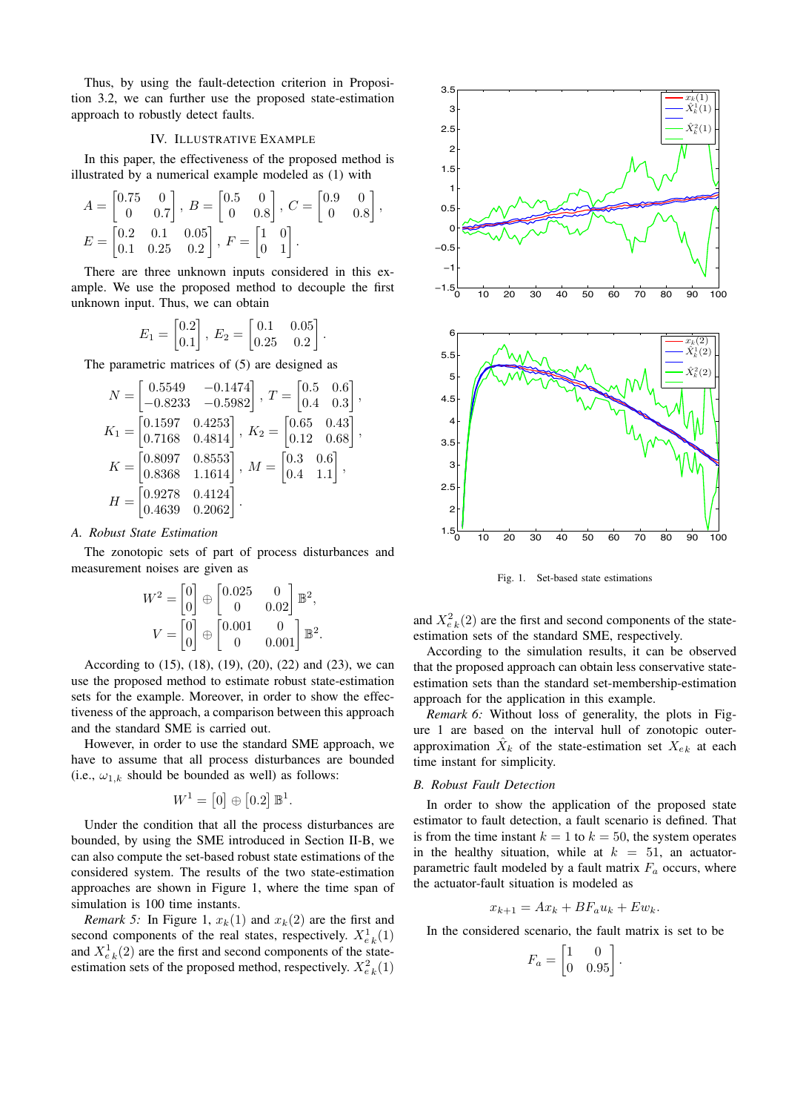Thus, by using the fault-detection criterion in Proposition 3.2, we can further use the proposed state-estimation approach to robustly detect faults.

### IV. ILLUSTRATIVE EXAMPLE

In this paper, the effectiveness of the proposed method is illustrated by a numerical example modeled as (1) with

$$
A = \begin{bmatrix} 0.75 & 0 \\ 0 & 0.7 \end{bmatrix}, B = \begin{bmatrix} 0.5 & 0 \\ 0 & 0.8 \end{bmatrix}, C = \begin{bmatrix} 0.9 & 0 \\ 0 & 0.8 \end{bmatrix},
$$
  

$$
E = \begin{bmatrix} 0.2 & 0.1 & 0.05 \\ 0.1 & 0.25 & 0.2 \end{bmatrix}, F = \begin{bmatrix} 1 & 0 \\ 0 & 1 \end{bmatrix}.
$$

There are three unknown inputs considered in this example. We use the proposed method to decouple the first unknown input. Thus, we can obtain

$$
E_1 = \begin{bmatrix} 0.2 \\ 0.1 \end{bmatrix}, E_2 = \begin{bmatrix} 0.1 & 0.05 \\ 0.25 & 0.2 \end{bmatrix}.
$$

 $\sim$ 

The parametric matrices of  $(5)$  are designed as

$$
N = \begin{bmatrix} 0.5549 & -0.1474 \\ -0.8233 & -0.5982 \end{bmatrix}, T = \begin{bmatrix} 0.5 & 0.6 \\ 0.4 & 0.3 \end{bmatrix},
$$
  
\n
$$
K_1 = \begin{bmatrix} 0.1597 & 0.4253 \\ 0.7168 & 0.4814 \end{bmatrix}, K_2 = \begin{bmatrix} 0.65 & 0.43 \\ 0.12 & 0.68 \end{bmatrix},
$$
  
\n
$$
K = \begin{bmatrix} 0.8097 & 0.8553 \\ 0.8368 & 1.1614 \end{bmatrix}, M = \begin{bmatrix} 0.3 & 0.6 \\ 0.4 & 1.1 \end{bmatrix},
$$
  
\n
$$
H = \begin{bmatrix} 0.9278 & 0.4124 \\ 0.4639 & 0.2062 \end{bmatrix}.
$$

#### A. Robust State Estimation

The zonotopic sets of part of process disturbances and measurement noises are given as

$$
W^{2} = \begin{bmatrix} 0 \\ 0 \end{bmatrix} \oplus \begin{bmatrix} 0.025 & 0 \\ 0 & 0.02 \end{bmatrix} \mathbb{B}^{2},
$$
  

$$
V = \begin{bmatrix} 0 \\ 0 \end{bmatrix} \oplus \begin{bmatrix} 0.001 & 0 \\ 0 & 0.001 \end{bmatrix} \mathbb{B}^{2}.
$$

According to (15), (18), (19), (20), (22) and (23), we can use the proposed method to estimate robust state-estimation sets for the example. Moreover, in order to show the effectiveness of the approach, a comparison between this approach and the standard SME is carried out.

However, in order to use the standard SME approach, we have to assume that all process disturbances are bounded (i.e.,  $\omega_{1,k}$  should be bounded as well) as follows:

$$
W^1 = [0] \oplus [0.2] \mathbb{B}^1.
$$

Under the condition that all the process disturbances are bounded, by using the SME introduced in Section II-B, we can also compute the set-based robust state estimations of the considered system. The results of the two state-estimation approaches are shown in Figure 1, where the time span of simulation is 100 time instants.

*Remark 5:* In Figure 1,  $x_k(1)$  and  $x_k(2)$  are the first and second components of the real states, respectively.  $X_{e,k}^1(1)$ and  $X_{e_k}^1(2)$  are the first and second components of the stateestimation sets of the proposed method, respectively.  $X_{e_k}^2(1)$ 



Fig. 1. Set-based state estimations

and  $X_{e_k}^2(2)$  are the first and second components of the stateestimation sets of the standard SME, respectively.

According to the simulation results, it can be observed that the proposed approach can obtain less conservative stateestimation sets than the standard set-membership-estimation approach for the application in this example.

Remark 6: Without loss of generality, the plots in Figure 1 are based on the interval hull of zonotopic outerapproximation  $X_k$  of the state-estimation set  $X_{\epsilon_k}$  at each time instant for simplicity.

## **B.** Robust Fault Detection

In order to show the application of the proposed state estimator to fault detection, a fault scenario is defined. That is from the time instant  $k = 1$  to  $k = 50$ , the system operates in the healthy situation, while at  $k = 51$ , an actuatorparametric fault modeled by a fault matrix  $F_a$  occurs, where the actuator-fault situation is modeled as

$$
x_{k+1} = Ax_k + BF_a u_k + E w_k.
$$

In the considered scenario, the fault matrix is set to be

$$
F_a = \begin{bmatrix} 1 & 0 \\ 0 & 0.95 \end{bmatrix}.
$$